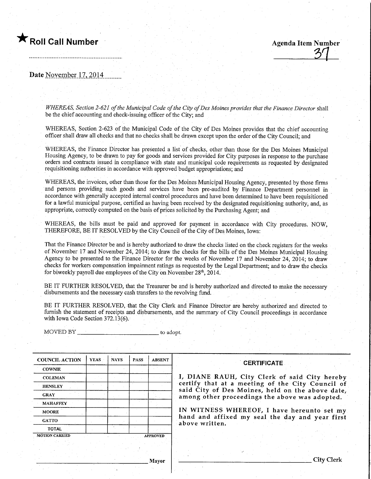Roll Call Number ™emany distribution and Agenda Item Number Agenda Item Number

Date November 17, 2014

WHEREAS, Section 2-621 of the Municipal Code of the City of Des Moines provides that the Finance Director shall be the chief accounting and check-issuing officer of the City; and

WHEREAS, Section 2-623 of the Municipal Code of the City of Des Momes provides that the chief accounting officer shall draw all checks and that no checks shall be drawn except upon the order of the City Council; and

WHEREAS, the Finance Director has presented a list of checks, other than those for the Des Moines Municipal Housing Agency, to be drawn to pay for goods and services provided for City purposes in response to the purchase orders and contracts issued in compliance with state and municipal code requirements as requested by designated requisitioning authorities in accordance with approved budget appropriations; and

WHEREAS, the invoices, other than those for the Des Moines Municipal Housing Agency, presented by those firms and persons providing such goods and services have been pre-audited by Finance Department personnel in accordance with generally accepted internal control procedures and have been determined to have been requisitioned for a lawful municipal purpose, certified as having been received by the designated requisitioning authority, and, as appropriate, correctly computed on the basis of prices solicited by the Purchasing Agent; and

WHEREAS, the bills must be paid and approved for payment in accordance with City procedures. NOW, THEREFORE, BE IT RESOLVED by the City Council of the City of Des Moines, Iowa:

That the Finance Director be and is hereby authorized to draw the checks listed on the check registers for the weeks of November 17 and November 24, 2014; to draw the checks for the bills of the Des Moines Municipal Housing Agency to be presented to the Finance Director for the weeks of November 17 and November 24, 2014; to draw checks for workers compensation impairment ratings as requested by the Legal Department; and to draw the checks for biweekly payroll due employees of the City on November 28<sup>th</sup>, 2014.

BE IT FURTHER RESOLVED, that the Treasurer be and is hereby authorized and directed to make the necessary disbursements and the necessary cash transfers to the revolving fund.

BE IT FURTHER RESOLVED, that the City Clerk and Finance Director are hereby authorized and directed to furnish the statement of receipts and disbursements, and the summary of City Council proceedings in accordance with Iowa Code Section 372.13(6).

MOVED BY to adopt.

| <b>COUNCIL ACTION</b> | <b>YEAS</b> | <b>NAYS</b> | <b>PASS</b> | <b>ABSENT</b>   |
|-----------------------|-------------|-------------|-------------|-----------------|
| <b>COWNIE</b>         |             |             |             |                 |
| <b>COLEMAN</b>        |             |             |             |                 |
| <b>HENSLEY</b>        |             |             |             |                 |
| <b>GRAY</b>           |             |             |             |                 |
| <b>MAHAFFEY</b>       |             |             |             |                 |
| <b>MOORE</b>          |             |             |             |                 |
| <b>GATTO</b>          |             |             |             |                 |
| <b>TOTAL</b>          |             |             |             |                 |
| <b>MOTION CARRIED</b> |             |             |             | <b>APPROVED</b> |

### **CERTIFICATE**

I, DIANE RAUH, City Clerk of said City hereby certify that at a meeting of the City Council of said City of Des Moines, held on the above date, among other proceedings the above was adopted.

IN WITNESS WHEREOF, I have hereunto set my hand and affixed my seal the day and year first above written.

Mayor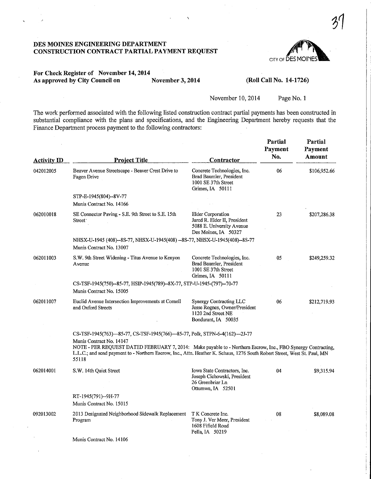### DES MOmES ENGINEERING DEPARTMENT CONSTRUCTION CONTRACT PARTIAL PAYMENT REQUEST



## For Check Register of November 14,2014 As approved by City Council on November 3, 2014 (Roll Call No. 14-1726)

November 10, 2014 Page No. 1

The work performed associated with the following listed construction contract partial payments has been constmcted in substantial compliance with the plans and specifications, and the Engineering Department hereby requests that the Finance Department process payment to the following contractors:

| <b>Activity ID</b> | <b>Project Title</b>                                                                                                                                                                                                                                                                                                                                        | <b>Contractor</b>                                                                                             | Partial<br>Payment<br>No. | Partial<br>Payment<br>Amount |
|--------------------|-------------------------------------------------------------------------------------------------------------------------------------------------------------------------------------------------------------------------------------------------------------------------------------------------------------------------------------------------------------|---------------------------------------------------------------------------------------------------------------|---------------------------|------------------------------|
| 042012005          | Beaver Avenue Streetscape - Beaver Crest Drive to<br>Fagen Drive                                                                                                                                                                                                                                                                                            | Concrete Technologies, Inc.<br>Brad Baumler, President<br>1001 SE 37th Street<br>Grimes, IA 50111             | 06                        | \$106,952.66                 |
|                    | STP-E-1945(804)--8V-77                                                                                                                                                                                                                                                                                                                                      |                                                                                                               |                           |                              |
|                    | Munis Contract No. 14166                                                                                                                                                                                                                                                                                                                                    |                                                                                                               |                           |                              |
| 062010018          | SE Connector Paving - S.E. 9th Street to S.E. 15th<br>Street <sup>-</sup>                                                                                                                                                                                                                                                                                   | <b>Elder Corporation</b><br>Jared R. Elder II, President<br>5088 E. University Avenue<br>Des Moines, IA 50327 | 23                        | \$207,286.38                 |
|                    | NHSX-U-1945 (408)--8S-77, NHSX-U-1945(408) --8S-77, NHSX-U-1945(408)--8S-77<br>Munis Contract No. 13007                                                                                                                                                                                                                                                     |                                                                                                               |                           |                              |
| 062011003          | S.W. 9th Street Widening - Titus Avenue to Kenyon<br>Avenue                                                                                                                                                                                                                                                                                                 | Concrete Technologies, Inc.<br>Brad Baumler, President<br>1001 SE 37th Street<br>Grimes, IA 50111             | 05                        | \$249,259.32                 |
|                    | CS-TSF-1945(750)--85-77, HSIP-1945(789)--8X-77, STP-U-1945-(797)--70-77<br>Munis Contract No. 15005                                                                                                                                                                                                                                                         |                                                                                                               |                           |                              |
| 062011007          | Euclid Avenue Intersection Improvements at Cornell<br>and Oxford Streets                                                                                                                                                                                                                                                                                    | Synergy Contracting LLC<br>Jesse Rognes, Owner/President<br>1120 2nd Street NE<br>Bondurant, IA 50035         | 06                        | \$212,719.93                 |
|                    | CS-TSF-1945(763)—85-77, CS-TSF-1945(766)—85-77, Polk, STPN-6-4(162)—2J-77<br>Munis Contract No. 14147<br>NOTE - PER REQUEST DATED FEBRUARY 7, 2014: Make payable to - Northern Escrow, Inc., FBO Synergy Contracting,<br>L.L.C.; and send payment to - Northern Escrow, Inc., Attn. Heather K. Schaus, 1276 South Robert Street, West St. Paul, MN<br>55118 |                                                                                                               |                           |                              |
| 062014001          | S.W. 14th Quiet Street                                                                                                                                                                                                                                                                                                                                      | Iowa State Contractors, Inc.<br>Joseph Cichowski, President<br>26 Greenbriar Ln<br>Ottumwa, IA 52501          | 04                        | \$9,315.94                   |
|                    | RT-1945(791)--9H-77<br>Munis Contract No. 15015                                                                                                                                                                                                                                                                                                             |                                                                                                               |                           |                              |
| 092013002          | 2013 Designated Neighborhood Sidewalk Replacement<br>Program                                                                                                                                                                                                                                                                                                | T K Concrete Inc.<br>Tony J. Ver Meer, President<br>1608 Fifield Road<br>Pella, IA 50219                      | 08                        | \$8,089.08                   |
|                    | Munis Contract No. 14106                                                                                                                                                                                                                                                                                                                                    |                                                                                                               |                           |                              |
|                    |                                                                                                                                                                                                                                                                                                                                                             |                                                                                                               |                           |                              |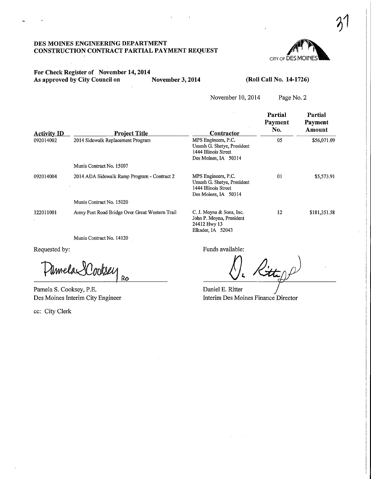### DES MOINES ENGINEERING DEPARTMENT CONSTRUCTION CONTRACT PARTIAL PAYMENT REQUEST

# CITY OF DES MOIN

 $3<sup>1</sup>$ 

## For Check Register of November 14,2014 As approved by City Council on November 3, 2014

### (Roll Call No. 14-1726)

November 10,2014

Page No. 2

| <b>Activity ID</b> | <b>Project Title</b>                           | Contractor                                                                                        | Partial<br>Payment<br>No. | Partial<br>Payment<br>Amount |
|--------------------|------------------------------------------------|---------------------------------------------------------------------------------------------------|---------------------------|------------------------------|
| 092014002          | 2014 Sidewalk Replacement Program              | MPS Engineers, P.C.<br>Umesh G. Shetye, President<br>1444 Illinois Street<br>Des Moines, IA 50314 | 05                        | \$56,071.09                  |
|                    | Munis Contract No. 15007                       |                                                                                                   |                           |                              |
| 092014004          | 2014 ADA Sidewalk Ramp Program - Contract 2    | MPS Engineers, P.C.<br>Umesh G. Shetye, President<br>1444 Illinois Street<br>Des Moines, IA 50314 | 01                        | \$5,573.91                   |
|                    | Munis Contract No. 15020                       |                                                                                                   |                           |                              |
| 122011001          | Army Post Road Bridge Over Great Western Trail | C. J. Moyna & Sons, Inc.<br>John P. Moyna, President<br>24412 Hwy 13<br>Elkader, IA 52043         | 12                        | \$181,351.58                 |

Munis Contract No. 14120

Requested by:

Pamela Ro

Pamela S. Cooksey, P.E. Des Moines Interim City Engineer

ec: City Clerk

Funds available:

Daniel E. Ritter Interim Des Moines Finance Director